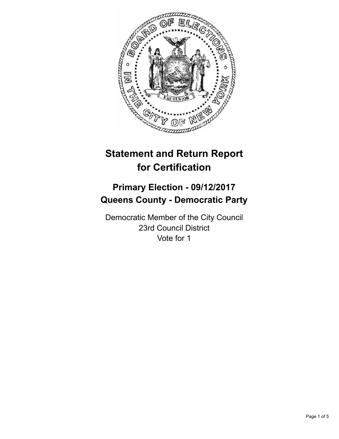

# **Statement and Return Report for Certification**

# **Primary Election - 09/12/2017 Queens County - Democratic Party**

Democratic Member of the City Council 23rd Council District Vote for 1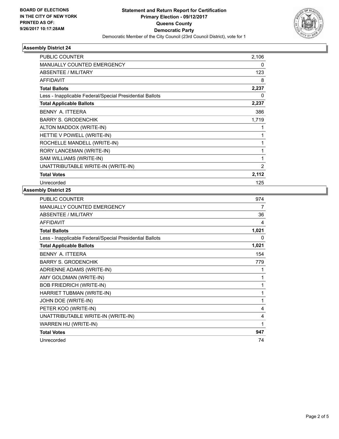

# **Assembly District 24**

| <b>PUBLIC COUNTER</b>                                    | 2,106          |
|----------------------------------------------------------|----------------|
| <b>MANUALLY COUNTED EMERGENCY</b>                        | 0              |
| ABSENTEE / MILITARY                                      | 123            |
| <b>AFFIDAVIT</b>                                         | 8              |
| <b>Total Ballots</b>                                     | 2,237          |
| Less - Inapplicable Federal/Special Presidential Ballots | 0              |
| <b>Total Applicable Ballots</b>                          | 2,237          |
| BENNY A. ITTEERA                                         | 386            |
| <b>BARRY S. GRODENCHIK</b>                               | 1,719          |
| ALTON MADDOX (WRITE-IN)                                  | 1              |
| HETTIE V POWELL (WRITE-IN)                               | 1              |
| ROCHELLE MANDELL (WRITE-IN)                              | 1              |
| RORY LANCEMAN (WRITE-IN)                                 | 1              |
| SAM WILLIAMS (WRITE-IN)                                  | 1              |
| UNATTRIBUTABLE WRITE-IN (WRITE-IN)                       | $\overline{2}$ |
| <b>Total Votes</b>                                       | 2,112          |
| Unrecorded                                               | 125            |

# **Assembly District 25**

| <b>PUBLIC COUNTER</b>                                    | 974   |
|----------------------------------------------------------|-------|
| <b>MANUALLY COUNTED EMERGENCY</b>                        | 7     |
| <b>ABSENTEE / MILITARY</b>                               | 36    |
| <b>AFFIDAVIT</b>                                         | 4     |
| <b>Total Ballots</b>                                     | 1,021 |
| Less - Inapplicable Federal/Special Presidential Ballots | 0     |
| <b>Total Applicable Ballots</b>                          | 1,021 |
| BENNY A. ITTEERA                                         | 154   |
| <b>BARRY S. GRODENCHIK</b>                               | 779   |
| ADRIENNE ADAMS (WRITE-IN)                                | 1     |
| AMY GOLDMAN (WRITE-IN)                                   | 1     |
| <b>BOB FRIEDRICH (WRITE-IN)</b>                          | 1     |
| HARRIET TUBMAN (WRITE-IN)                                | 1     |
| JOHN DOE (WRITE-IN)                                      | 1     |
| PETER KOO (WRITE-IN)                                     | 4     |
| UNATTRIBUTABLE WRITE-IN (WRITE-IN)                       | 4     |
| WARREN HU (WRITE-IN)                                     | 1     |
| <b>Total Votes</b>                                       | 947   |
| Unrecorded                                               | 74    |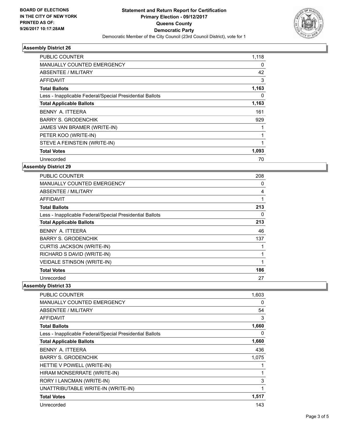

# **Assembly District 26**

| <b>PUBLIC COUNTER</b>                                    | 1,118 |
|----------------------------------------------------------|-------|
| <b>MANUALLY COUNTED EMERGENCY</b>                        | 0     |
| ABSENTEE / MILITARY                                      | 42    |
| <b>AFFIDAVIT</b>                                         | 3     |
| <b>Total Ballots</b>                                     | 1,163 |
| Less - Inapplicable Federal/Special Presidential Ballots | 0     |
| <b>Total Applicable Ballots</b>                          | 1,163 |
| BENNY A. ITTEERA                                         | 161   |
| <b>BARRY S. GRODENCHIK</b>                               | 929   |
| JAMES VAN BRAMER (WRITE-IN)                              |       |
| PETER KOO (WRITE-IN)                                     |       |
| STEVE A FEINSTEIN (WRITE-IN)                             |       |
| <b>Total Votes</b>                                       | 1,093 |
| Unrecorded                                               | 70    |

# **Assembly District 29**

| <b>PUBLIC COUNTER</b>                                    | 208 |
|----------------------------------------------------------|-----|
| <b>MANUALLY COUNTED EMERGENCY</b>                        | 0   |
| ABSENTEE / MILITARY                                      | 4   |
| AFFIDAVIT                                                | 1   |
| <b>Total Ballots</b>                                     | 213 |
| Less - Inapplicable Federal/Special Presidential Ballots | 0   |
| <b>Total Applicable Ballots</b>                          | 213 |
| BENNY A. ITTEERA                                         | 46  |
| <b>BARRY S. GRODENCHIK</b>                               | 137 |
| <b>CURTIS JACKSON (WRITE-IN)</b>                         |     |
| RICHARD S DAVID (WRITE-IN)                               |     |
| <b>VEIDALE STINSON (WRITE-IN)</b>                        |     |
| <b>Total Votes</b>                                       | 186 |
| Unrecorded                                               | 27  |

**Assembly District 33**

| <b>PUBLIC COUNTER</b>                                    | 1,603 |
|----------------------------------------------------------|-------|
| <b>MANUALLY COUNTED EMERGENCY</b>                        | 0     |
| ABSENTEE / MILITARY                                      | 54    |
| AFFIDAVIT                                                | 3     |
| <b>Total Ballots</b>                                     | 1,660 |
| Less - Inapplicable Federal/Special Presidential Ballots | 0     |
| <b>Total Applicable Ballots</b>                          | 1,660 |
| BENNY A. ITTEERA                                         | 436   |
| <b>BARRY S. GRODENCHIK</b>                               | 1,075 |
| HETTIE V POWELL (WRITE-IN)                               |       |
| HIRAM MONSERRATE (WRITE-IN)                              | 1     |
| RORY I LANCMAN (WRITE-IN)                                | 3     |
| UNATTRIBUTABLE WRITE-IN (WRITE-IN)                       | 1     |
| <b>Total Votes</b>                                       | 1,517 |
| Unrecorded                                               | 143   |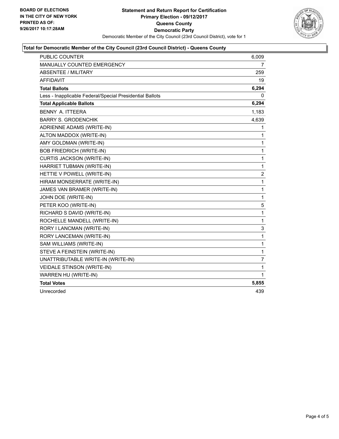

# **Total for Democratic Member of the City Council (23rd Council District) - Queens County**

| <b>PUBLIC COUNTER</b>                                    | 6,009          |
|----------------------------------------------------------|----------------|
| MANUALLY COUNTED EMERGENCY                               | 7              |
| <b>ABSENTEE / MILITARY</b>                               | 259            |
| <b>AFFIDAVIT</b>                                         | 19             |
| <b>Total Ballots</b>                                     | 6,294          |
| Less - Inapplicable Federal/Special Presidential Ballots | 0              |
| <b>Total Applicable Ballots</b>                          | 6,294          |
| BENNY A. ITTEERA                                         | 1,183          |
| <b>BARRY S. GRODENCHIK</b>                               | 4,639          |
| ADRIENNE ADAMS (WRITE-IN)                                | 1              |
| ALTON MADDOX (WRITE-IN)                                  | 1              |
| AMY GOLDMAN (WRITE-IN)                                   | 1              |
| <b>BOB FRIEDRICH (WRITE-IN)</b>                          | $\mathbf{1}$   |
| CURTIS JACKSON (WRITE-IN)                                | $\mathbf 1$    |
| HARRIET TUBMAN (WRITE-IN)                                | 1              |
| HETTIE V POWELL (WRITE-IN)                               | 2              |
| HIRAM MONSERRATE (WRITE-IN)                              | 1              |
| JAMES VAN BRAMER (WRITE-IN)                              | 1              |
| JOHN DOE (WRITE-IN)                                      | $\mathbf{1}$   |
| PETER KOO (WRITE-IN)                                     | 5              |
| RICHARD S DAVID (WRITE-IN)                               | $\mathbf{1}$   |
| ROCHELLE MANDELL (WRITE-IN)                              | $\mathbf 1$    |
| RORY I LANCMAN (WRITE-IN)                                | 3              |
| RORY LANCEMAN (WRITE-IN)                                 | $\mathbf{1}$   |
| SAM WILLIAMS (WRITE-IN)                                  | $\mathbf{1}$   |
| STEVE A FEINSTEIN (WRITE-IN)                             | 1              |
| UNATTRIBUTABLE WRITE-IN (WRITE-IN)                       | $\overline{7}$ |
| <b>VEIDALE STINSON (WRITE-IN)</b>                        | 1              |
| WARREN HU (WRITE-IN)                                     | 1              |
| <b>Total Votes</b>                                       | 5,855          |
| Unrecorded                                               | 439            |